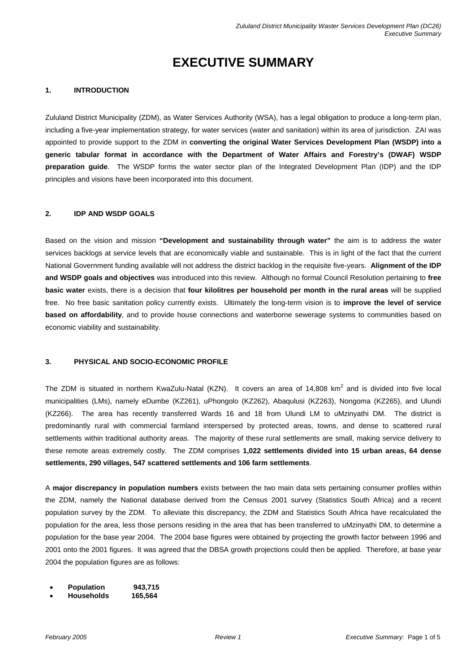# **EXECUTIVE SUMMARY**

### **1. INTRODUCTION**

Zululand District Municipality (ZDM), as Water Services Authority (WSA), has a legal obligation to produce a long-term plan, including a five-year implementation strategy, for water services (water and sanitation) within its area of jurisdiction. ZAI was appointed to provide support to the ZDM in **converting the original Water Services Development Plan (WSDP) into a generic tabular format in accordance with the Department of Water Affairs and Forestry's (DWAF) WSDP preparation guide**. The WSDP forms the water sector plan of the Integrated Development Plan (IDP) and the IDP principles and visions have been incorporated into this document.

## **2. IDP AND WSDP GOALS**

Based on the vision and mission **"Development and sustainability through water"** the aim is to address the water services backlogs at service levels that are economically viable and sustainable. This is in light of the fact that the current National Government funding available will not address the district backlog in the requisite five-years. **Alignment of the IDP and WSDP goals and objectives** was introduced into this review. Although no formal Council Resolution pertaining to **free basic water** exists, there is a decision that **four kilolitres per household per month in the rural areas** will be supplied free. No free basic sanitation policy currently exists. Ultimately the long-term vision is to **improve the level of service based on affordability**, and to provide house connections and waterborne sewerage systems to communities based on economic viability and sustainability.

#### **3. PHYSICAL AND SOCIO-ECONOMIC PROFILE**

The ZDM is situated in northern KwaZulu-Natal (KZN). It covers an area of 14,808 km<sup>2</sup> and is divided into five local municipalities (LMs), namely eDumbe (KZ261), uPhongolo (KZ262), Abaqulusi (KZ263), Nongoma (KZ265), and Ulundi (KZ266). The area has recently transferred Wards 16 and 18 from Ulundi LM to uMzinyathi DM. The district is predominantly rural with commercial farmland interspersed by protected areas, towns, and dense to scattered rural settlements within traditional authority areas. The majority of these rural settlements are small, making service delivery to these remote areas extremely costly. The ZDM comprises **1,022 settlements divided into 15 urban areas, 64 dense settlements, 290 villages, 547 scattered settlements and 106 farm settlements**.

A **major discrepancy in population numbers** exists between the two main data sets pertaining consumer profiles within the ZDM, namely the National database derived from the Census 2001 survey (Statistics South Africa) and a recent population survey by the ZDM. To alleviate this discrepancy, the ZDM and Statistics South Africa have recalculated the population for the area, less those persons residing in the area that has been transferred to uMzinyathi DM, to determine a population for the base year 2004. The 2004 base figures were obtained by projecting the growth factor between 1996 and 2001 onto the 2001 figures. It was agreed that the DBSA growth projections could then be applied. Therefore, at base year 2004 the population figures are as follows:

- **Population 943,715**
- **Households 165,564**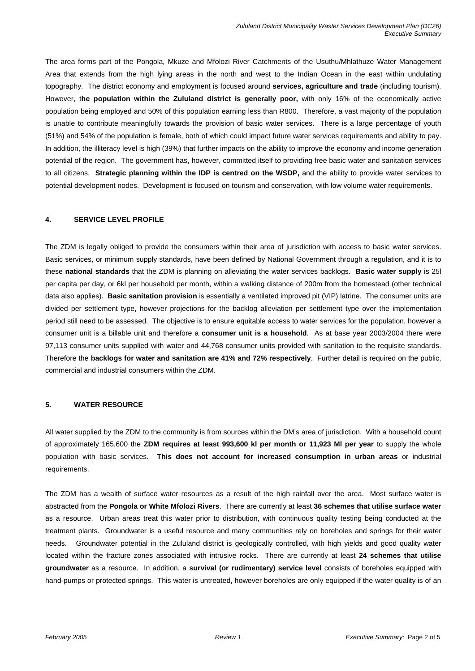The area forms part of the Pongola, Mkuze and Mfolozi River Catchments of the Usuthu/Mhlathuze Water Management Area that extends from the high lying areas in the north and west to the Indian Ocean in the east within undulating topography. The district economy and employment is focused around **services, agriculture and trade** (including tourism). However, t**he population within the Zululand district is generally poor,** with only 16% of the economically active population being employed and 50% of this population earning less than R800. Therefore, a vast majority of the population is unable to contribute meaningfully towards the provision of basic water services. There is a large percentage of youth (51%) and 54% of the population is female, both of which could impact future water services requirements and ability to pay. In addition, the illiteracy level is high (39%) that further impacts on the ability to improve the economy and income generation potential of the region. The government has, however, committed itself to providing free basic water and sanitation services to all citizens. **Strategic planning within the IDP is centred on the WSDP,** and the ability to provide water services to potential development nodes. Development is focused on tourism and conservation, with low volume water requirements.

## **4. SERVICE LEVEL PROFILE**

The ZDM is legally obliged to provide the consumers within their area of jurisdiction with access to basic water services. Basic services, or minimum supply standards, have been defined by National Government through a regulation, and it is to these **national standards** that the ZDM is planning on alleviating the water services backlogs. **Basic water supply** is 25l per capita per day, or 6kl per household per month, within a walking distance of 200m from the homestead (other technical data also applies). **Basic sanitation provision** is essentially a ventilated improved pit (VIP) latrine. The consumer units are divided per settlement type, however projections for the backlog alleviation per settlement type over the implementation period still need to be assessed. The objective is to ensure equitable access to water services for the population, however a consumer unit is a billable unit and therefore a **consumer unit is a household**. As at base year 2003/2004 there were 97,113 consumer units supplied with water and 44,768 consumer units provided with sanitation to the requisite standards. Therefore the **backlogs for water and sanitation are 41% and 72% respectively**. Further detail is required on the public, commercial and industrial consumers within the ZDM.

## **5. WATER RESOURCE**

All water supplied by the ZDM to the community is from sources within the DM's area of jurisdiction. With a household count of approximately 165,600 the **ZDM requires at least 993,600 kl per month or 11,923 Ml per year** to supply the whole population with basic services. **This does not account for increased consumption in urban areas** or industrial requirements.

The ZDM has a wealth of surface water resources as a result of the high rainfall over the area. Most surface water is abstracted from the **Pongola or White Mfolozi Rivers**. There are currently at least **36 schemes that utilise surface water** as a resource. Urban areas treat this water prior to distribution, with continuous quality testing being conducted at the treatment plants. Groundwater is a useful resource and many communities rely on boreholes and springs for their water needs. Groundwater potential in the Zululand district is geologically controlled, with high yields and good quality water located within the fracture zones associated with intrusive rocks. There are currently at least **24 schemes that utilise groundwater** as a resource. In addition, a **survival (or rudimentary) service level** consists of boreholes equipped with hand-pumps or protected springs. This water is untreated, however boreholes are only equipped if the water quality is of an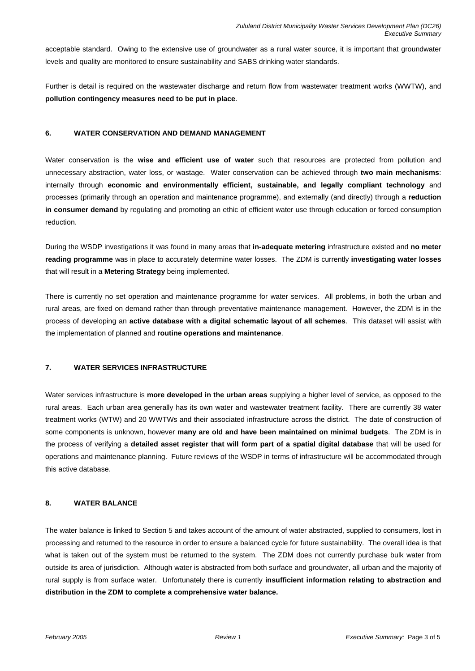acceptable standard. Owing to the extensive use of groundwater as a rural water source, it is important that groundwater levels and quality are monitored to ensure sustainability and SABS drinking water standards.

Further is detail is required on the wastewater discharge and return flow from wastewater treatment works (WWTW), and **pollution contingency measures need to be put in place**.

#### **6. WATER CONSERVATION AND DEMAND MANAGEMENT**

Water conservation is the **wise and efficient use of water** such that resources are protected from pollution and unnecessary abstraction, water loss, or wastage. Water conservation can be achieved through **two main mechanisms**: internally through **economic and environmentally efficient, sustainable, and legally compliant technology** and processes (primarily through an operation and maintenance programme), and externally (and directly) through a **reduction in consumer demand** by regulating and promoting an ethic of efficient water use through education or forced consumption reduction.

During the WSDP investigations it was found in many areas that **in-adequate metering** infrastructure existed and **no meter reading programme** was in place to accurately determine water losses. The ZDM is currently **investigating water losses**  that will result in a **Metering Strategy** being implemented.

There is currently no set operation and maintenance programme for water services. All problems, in both the urban and rural areas, are fixed on demand rather than through preventative maintenance management. However, the ZDM is in the process of developing an **active database with a digital schematic layout of all schemes**. This dataset will assist with the implementation of planned and **routine operations and maintenance**.

## **7. WATER SERVICES INFRASTRUCTURE**

Water services infrastructure is **more developed in the urban areas** supplying a higher level of service, as opposed to the rural areas. Each urban area generally has its own water and wastewater treatment facility. There are currently 38 water treatment works (WTW) and 20 WWTWs and their associated infrastructure across the district. The date of construction of some components is unknown, however **many are old and have been maintained on minimal budgets**. The ZDM is in the process of verifying a **detailed asset register that will form part of a spatial digital database** that will be used for operations and maintenance planning. Future reviews of the WSDP in terms of infrastructure will be accommodated through this active database.

## **8. WATER BALANCE**

The water balance is linked to Section 5 and takes account of the amount of water abstracted, supplied to consumers, lost in processing and returned to the resource in order to ensure a balanced cycle for future sustainability. The overall idea is that what is taken out of the system must be returned to the system. The ZDM does not currently purchase bulk water from outside its area of jurisdiction. Although water is abstracted from both surface and groundwater, all urban and the majority of rural supply is from surface water. Unfortunately there is currently **insufficient information relating to abstraction and distribution in the ZDM to complete a comprehensive water balance.**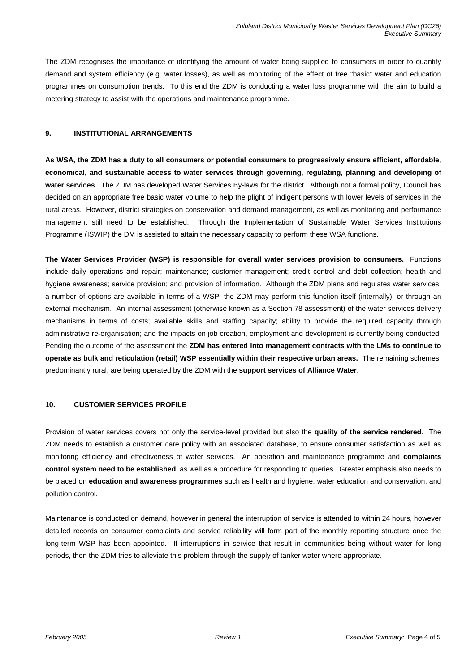The ZDM recognises the importance of identifying the amount of water being supplied to consumers in order to quantify demand and system efficiency (e.g. water losses), as well as monitoring of the effect of free "basic" water and education programmes on consumption trends. To this end the ZDM is conducting a water loss programme with the aim to build a metering strategy to assist with the operations and maintenance programme.

### **9. INSTITUTIONAL ARRANGEMENTS**

**As WSA, the ZDM has a duty to all consumers or potential consumers to progressively ensure efficient, affordable, economical, and sustainable access to water services through governing, regulating, planning and developing of water services**. The ZDM has developed Water Services By-laws for the district. Although not a formal policy, Council has decided on an appropriate free basic water volume to help the plight of indigent persons with lower levels of services in the rural areas. However, district strategies on conservation and demand management, as well as monitoring and performance management still need to be established. Through the Implementation of Sustainable Water Services Institutions Programme (ISWIP) the DM is assisted to attain the necessary capacity to perform these WSA functions.

**The Water Services Provider (WSP) is responsible for overall water services provision to consumers.** Functions include daily operations and repair; maintenance; customer management; credit control and debt collection; health and hygiene awareness; service provision; and provision of information. Although the ZDM plans and regulates water services, a number of options are available in terms of a WSP: the ZDM may perform this function itself (internally), or through an external mechanism. An internal assessment (otherwise known as a Section 78 assessment) of the water services delivery mechanisms in terms of costs; available skills and staffing capacity; ability to provide the required capacity through administrative re-organisation; and the impacts on job creation, employment and development is currently being conducted. Pending the outcome of the assessment the **ZDM has entered into management contracts with the LMs to continue to operate as bulk and reticulation (retail) WSP essentially within their respective urban areas.** The remaining schemes, predominantly rural, are being operated by the ZDM with the **support services of Alliance Water**.

## **10. CUSTOMER SERVICES PROFILE**

Provision of water services covers not only the service-level provided but also the **quality of the service rendered**. The ZDM needs to establish a customer care policy with an associated database, to ensure consumer satisfaction as well as monitoring efficiency and effectiveness of water services. An operation and maintenance programme and **complaints control system need to be established**, as well as a procedure for responding to queries. Greater emphasis also needs to be placed on **education and awareness programmes** such as health and hygiene, water education and conservation, and pollution control.

Maintenance is conducted on demand, however in general the interruption of service is attended to within 24 hours, however detailed records on consumer complaints and service reliability will form part of the monthly reporting structure once the long-term WSP has been appointed. If interruptions in service that result in communities being without water for long periods, then the ZDM tries to alleviate this problem through the supply of tanker water where appropriate.